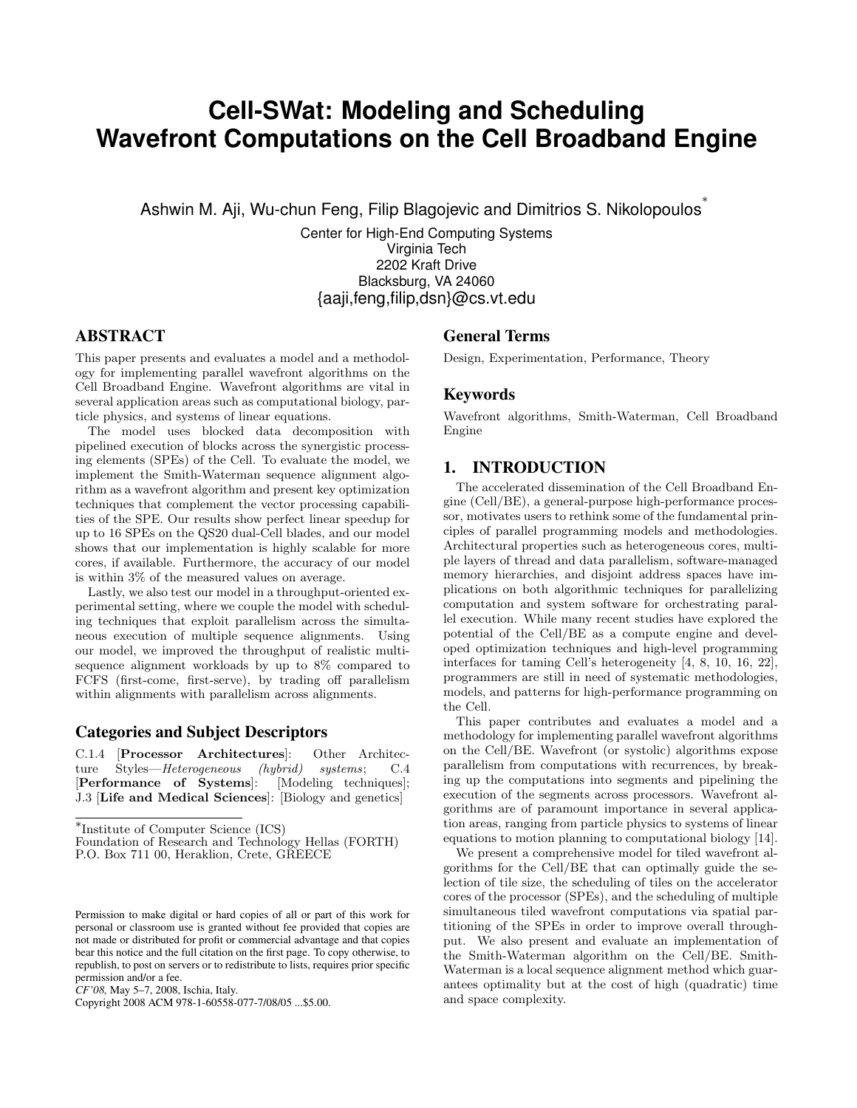# **Cell-SWat: Modeling and Scheduling Wavefront Computations on the Cell Broadband Engine**

Ashwin M. Aji, Wu-chun Feng, Filip Blagojevic and Dimitrios S. Nikolopoulos $^{*}$ 

Center for High-End Computing Systems Virginia Tech 2202 Kraft Drive Blacksburg, VA 24060 {aaji,feng,filip,dsn}@cs.vt.edu

# ABSTRACT

This paper presents and evaluates a model and a methodology for implementing parallel wavefront algorithms on the Cell Broadband Engine. Wavefront algorithms are vital in several application areas such as computational biology, particle physics, and systems of linear equations.

The model uses blocked data decomposition with pipelined execution of blocks across the synergistic processing elements (SPEs) of the Cell. To evaluate the model, we implement the Smith-Waterman sequence alignment algorithm as a wavefront algorithm and present key optimization techniques that complement the vector processing capabilities of the SPE. Our results show perfect linear speedup for up to 16 SPEs on the QS20 dual-Cell blades, and our model shows that our implementation is highly scalable for more cores, if available. Furthermore, the accuracy of our model is within 3% of the measured values on average.

Lastly, we also test our model in a throughput-oriented experimental setting, where we couple the model with scheduling techniques that exploit parallelism across the simultaneous execution of multiple sequence alignments. Using our model, we improved the throughput of realistic multisequence alignment workloads by up to 8% compared to FCFS (first-come, first-serve), by trading off parallelism within alignments with parallelism across alignments.

## Categories and Subject Descriptors

C.1.4 [Processor Architectures]: Other Architecture Styles—Heterogeneous (hybrid) systems; C.4 ture Styles—Heterogeneous (hybrid) systems; C.4<br>[**Performance of Systems**]: [Modeling techniques];  $[Performance of Systems]:$ J.3 [Life and Medical Sciences]: [Biology and genetics]

#### General Terms

Design, Experimentation, Performance, Theory

#### Keywords

Wavefront algorithms, Smith-Waterman, Cell Broadband Engine

# 1. INTRODUCTION

The accelerated dissemination of the Cell Broadband Engine (Cell/BE), a general-purpose high-performance processor, motivates users to rethink some of the fundamental principles of parallel programming models and methodologies. Architectural properties such as heterogeneous cores, multiple layers of thread and data parallelism, software-managed memory hierarchies, and disjoint address spaces have implications on both algorithmic techniques for parallelizing computation and system software for orchestrating parallel execution. While many recent studies have explored the potential of the Cell/BE as a compute engine and developed optimization techniques and high-level programming interfaces for taming Cell's heterogeneity [4, 8, 10, 16, 22], programmers are still in need of systematic methodologies, models, and patterns for high-performance programming on the Cell.

This paper contributes and evaluates a model and a methodology for implementing parallel wavefront algorithms on the Cell/BE. Wavefront (or systolic) algorithms expose parallelism from computations with recurrences, by breaking up the computations into segments and pipelining the execution of the segments across processors. Wavefront algorithms are of paramount importance in several application areas, ranging from particle physics to systems of linear equations to motion planning to computational biology [14].

We present a comprehensive model for tiled wavefront algorithms for the Cell/BE that can optimally guide the selection of tile size, the scheduling of tiles on the accelerator cores of the processor (SPEs), and the scheduling of multiple simultaneous tiled wavefront computations via spatial partitioning of the SPEs in order to improve overall throughput. We also present and evaluate an implementation of the Smith-Waterman algorithm on the Cell/BE. Smith-Waterman is a local sequence alignment method which guarantees optimality but at the cost of high (quadratic) time and space complexity.

<sup>∗</sup> Institute of Computer Science (ICS)

Foundation of Research and Technology Hellas (FORTH)

P.O. Box 711 00, Heraklion, Crete, GREECE

Permission to make digital or hard copies of all or part of this work for personal or classroom use is granted without fee provided that copies are not made or distributed for profit or commercial advantage and that copies bear this notice and the full citation on the first page. To copy otherwise, to republish, to post on servers or to redistribute to lists, requires prior specific permission and/or a fee.

*CF'08,* May 5–7, 2008, Ischia, Italy.

Copyright 2008 ACM 978-1-60558-077-7/08/05 ...\$5.00.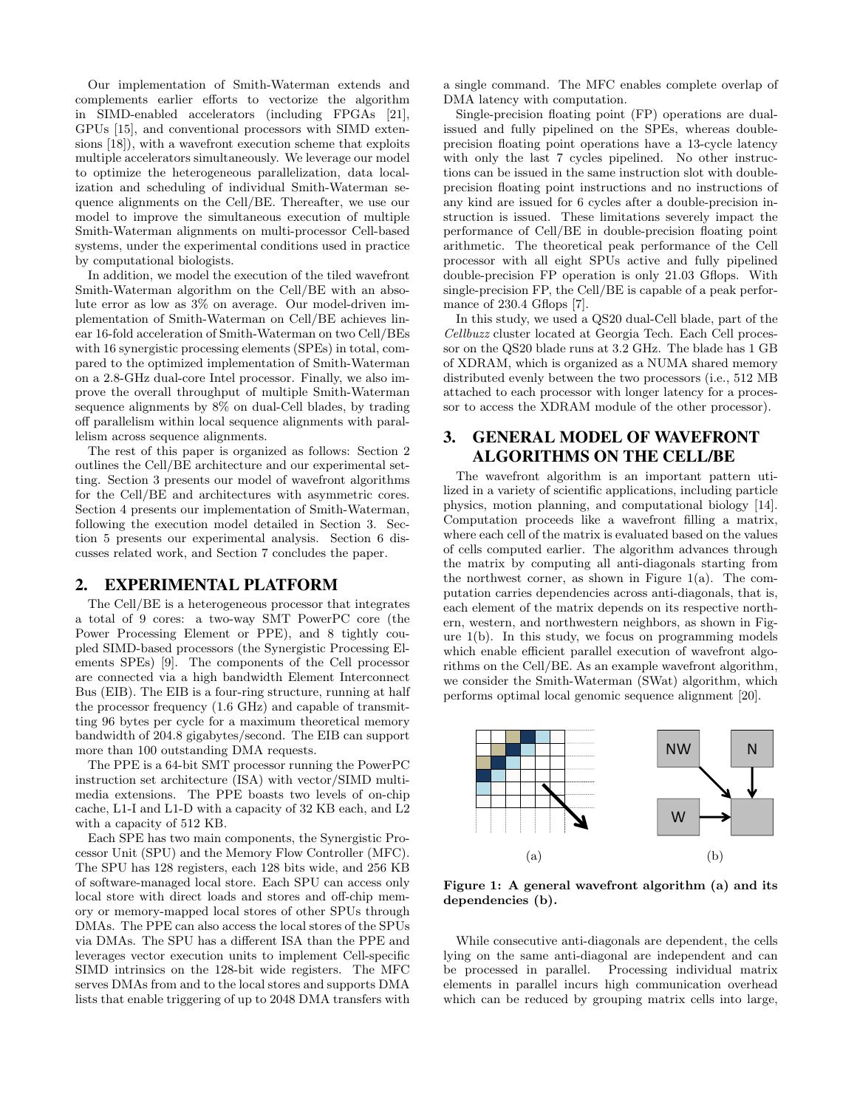Our implementation of Smith-Waterman extends and complements earlier efforts to vectorize the algorithm in SIMD-enabled accelerators (including FPGAs [21], GPUs [15], and conventional processors with SIMD extensions [18]), with a wavefront execution scheme that exploits multiple accelerators simultaneously. We leverage our model to optimize the heterogeneous parallelization, data localization and scheduling of individual Smith-Waterman sequence alignments on the Cell/BE. Thereafter, we use our model to improve the simultaneous execution of multiple Smith-Waterman alignments on multi-processor Cell-based systems, under the experimental conditions used in practice by computational biologists.

In addition, we model the execution of the tiled wavefront Smith-Waterman algorithm on the Cell/BE with an absolute error as low as 3% on average. Our model-driven implementation of Smith-Waterman on Cell/BE achieves linear 16-fold acceleration of Smith-Waterman on two Cell/BEs with 16 synergistic processing elements (SPEs) in total, compared to the optimized implementation of Smith-Waterman on a 2.8-GHz dual-core Intel processor. Finally, we also improve the overall throughput of multiple Smith-Waterman sequence alignments by 8% on dual-Cell blades, by trading off parallelism within local sequence alignments with parallelism across sequence alignments.

The rest of this paper is organized as follows: Section 2 outlines the Cell/BE architecture and our experimental setting. Section 3 presents our model of wavefront algorithms for the Cell/BE and architectures with asymmetric cores. Section 4 presents our implementation of Smith-Waterman, following the execution model detailed in Section 3. Section 5 presents our experimental analysis. Section 6 discusses related work, and Section 7 concludes the paper.

#### 2. EXPERIMENTAL PLATFORM

The Cell/BE is a heterogeneous processor that integrates a total of 9 cores: a two-way SMT PowerPC core (the Power Processing Element or PPE), and 8 tightly coupled SIMD-based processors (the Synergistic Processing Elements SPEs) [9]. The components of the Cell processor are connected via a high bandwidth Element Interconnect Bus (EIB). The EIB is a four-ring structure, running at half the processor frequency (1.6 GHz) and capable of transmitting 96 bytes per cycle for a maximum theoretical memory bandwidth of 204.8 gigabytes/second. The EIB can support more than 100 outstanding DMA requests.

The PPE is a 64-bit SMT processor running the PowerPC instruction set architecture (ISA) with vector/SIMD multimedia extensions. The PPE boasts two levels of on-chip cache, L1-I and L1-D with a capacity of 32 KB each, and L2 with a capacity of 512 KB.

Each SPE has two main components, the Synergistic Processor Unit (SPU) and the Memory Flow Controller (MFC). The SPU has 128 registers, each 128 bits wide, and 256 KB of software-managed local store. Each SPU can access only local store with direct loads and stores and off-chip memory or memory-mapped local stores of other SPUs through DMAs. The PPE can also access the local stores of the SPUs via DMAs. The SPU has a different ISA than the PPE and leverages vector execution units to implement Cell-specific SIMD intrinsics on the 128-bit wide registers. The MFC serves DMAs from and to the local stores and supports DMA lists that enable triggering of up to 2048 DMA transfers with a single command. The MFC enables complete overlap of DMA latency with computation.

Single-precision floating point (FP) operations are dualissued and fully pipelined on the SPEs, whereas doubleprecision floating point operations have a 13-cycle latency with only the last 7 cycles pipelined. No other instructions can be issued in the same instruction slot with doubleprecision floating point instructions and no instructions of any kind are issued for 6 cycles after a double-precision instruction is issued. These limitations severely impact the performance of Cell/BE in double-precision floating point arithmetic. The theoretical peak performance of the Cell processor with all eight SPUs active and fully pipelined double-precision FP operation is only 21.03 Gflops. With single-precision FP, the Cell/BE is capable of a peak performance of 230.4 Gflops [7].

In this study, we used a QS20 dual-Cell blade, part of the Cellbuzz cluster located at Georgia Tech. Each Cell processor on the QS20 blade runs at 3.2 GHz. The blade has 1 GB of XDRAM, which is organized as a NUMA shared memory distributed evenly between the two processors (i.e., 512 MB attached to each processor with longer latency for a processor to access the XDRAM module of the other processor).

# 3. GENERAL MODEL OF WAVEFRONT ALGORITHMS ON THE CELL/BE

The wavefront algorithm is an important pattern utilized in a variety of scientific applications, including particle physics, motion planning, and computational biology [14]. Computation proceeds like a wavefront filling a matrix, where each cell of the matrix is evaluated based on the values of cells computed earlier. The algorithm advances through the matrix by computing all anti-diagonals starting from the northwest corner, as shown in Figure 1(a). The computation carries dependencies across anti-diagonals, that is, each element of the matrix depends on its respective northern, western, and northwestern neighbors, as shown in Figure 1(b). In this study, we focus on programming models which enable efficient parallel execution of wavefront algorithms on the Cell/BE. As an example wavefront algorithm, we consider the Smith-Waterman (SWat) algorithm, which performs optimal local genomic sequence alignment [20].



Figure 1: A general wavefront algorithm (a) and its dependencies (b).

While consecutive anti-diagonals are dependent, the cells lying on the same anti-diagonal are independent and can be processed in parallel. Processing individual matrix elements in parallel incurs high communication overhead which can be reduced by grouping matrix cells into large,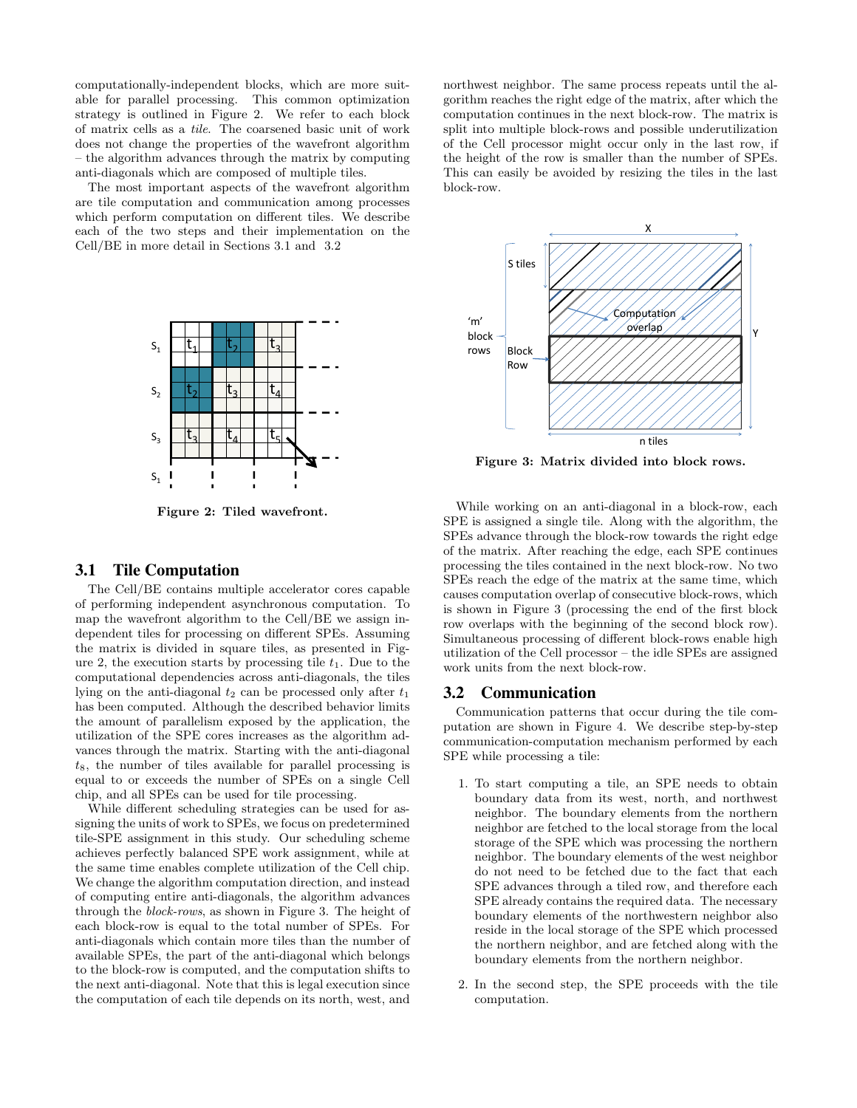computationally-independent blocks, which are more suitable for parallel processing. This common optimization strategy is outlined in Figure 2. We refer to each block of matrix cells as a tile. The coarsened basic unit of work does not change the properties of the wavefront algorithm – the algorithm advances through the matrix by computing anti-diagonals which are composed of multiple tiles.

The most important aspects of the wavefront algorithm are tile computation and communication among processes which perform computation on different tiles. We describe each of the two steps and their implementation on the Cell/BE in more detail in Sections 3.1 and 3.2



Figure 2: Tiled wavefront.

#### 3.1 Tile Computation

The Cell/BE contains multiple accelerator cores capable of performing independent asynchronous computation. To map the wavefront algorithm to the Cell/BE we assign independent tiles for processing on different SPEs. Assuming the matrix is divided in square tiles, as presented in Figure 2, the execution starts by processing tile  $t_1$ . Due to the computational dependencies across anti-diagonals, the tiles lying on the anti-diagonal  $t_2$  can be processed only after  $t_1$ has been computed. Although the described behavior limits the amount of parallelism exposed by the application, the utilization of the SPE cores increases as the algorithm advances through the matrix. Starting with the anti-diagonal  $t_8$ , the number of tiles available for parallel processing is equal to or exceeds the number of SPEs on a single Cell chip, and all SPEs can be used for tile processing.

While different scheduling strategies can be used for assigning the units of work to SPEs, we focus on predetermined tile-SPE assignment in this study. Our scheduling scheme achieves perfectly balanced SPE work assignment, while at the same time enables complete utilization of the Cell chip. We change the algorithm computation direction, and instead of computing entire anti-diagonals, the algorithm advances through the block-rows, as shown in Figure 3. The height of each block-row is equal to the total number of SPEs. For anti-diagonals which contain more tiles than the number of available SPEs, the part of the anti-diagonal which belongs to the block-row is computed, and the computation shifts to the next anti-diagonal. Note that this is legal execution since the computation of each tile depends on its north, west, and

northwest neighbor. The same process repeats until the algorithm reaches the right edge of the matrix, after which the computation continues in the next block-row. The matrix is split into multiple block-rows and possible underutilization of the Cell processor might occur only in the last row, if the height of the row is smaller than the number of SPEs. This can easily be avoided by resizing the tiles in the last block-row.



Figure 3: Matrix divided into block rows.

While working on an anti-diagonal in a block-row, each SPE is assigned a single tile. Along with the algorithm, the SPEs advance through the block-row towards the right edge of the matrix. After reaching the edge, each SPE continues processing the tiles contained in the next block-row. No two SPEs reach the edge of the matrix at the same time, which causes computation overlap of consecutive block-rows, which is shown in Figure 3 (processing the end of the first block row overlaps with the beginning of the second block row). Simultaneous processing of different block-rows enable high utilization of the Cell processor – the idle SPEs are assigned work units from the next block-row.

#### 3.2 Communication

Communication patterns that occur during the tile computation are shown in Figure 4. We describe step-by-step communication-computation mechanism performed by each SPE while processing a tile:

- 1. To start computing a tile, an SPE needs to obtain boundary data from its west, north, and northwest neighbor. The boundary elements from the northern neighbor are fetched to the local storage from the local storage of the SPE which was processing the northern neighbor. The boundary elements of the west neighbor do not need to be fetched due to the fact that each SPE advances through a tiled row, and therefore each SPE already contains the required data. The necessary boundary elements of the northwestern neighbor also reside in the local storage of the SPE which processed the northern neighbor, and are fetched along with the boundary elements from the northern neighbor.
- 2. In the second step, the SPE proceeds with the tile computation.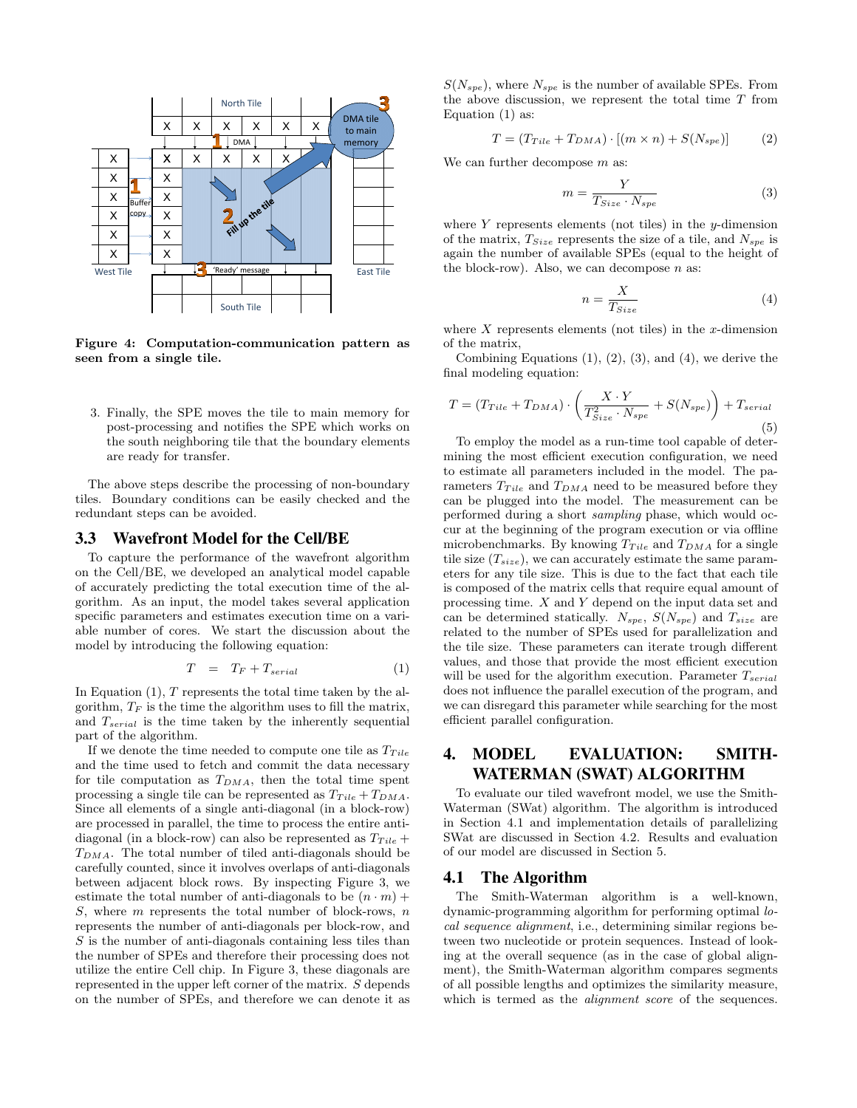

Figure 4: Computation-communication pattern as seen from a single tile.

3. Finally, the SPE moves the tile to main memory for post-processing and notifies the SPE which works on the south neighboring tile that the boundary elements are ready for transfer.

The above steps describe the processing of non-boundary tiles. Boundary conditions can be easily checked and the redundant steps can be avoided.

#### 3.3 Wavefront Model for the Cell/BE

To capture the performance of the wavefront algorithm on the Cell/BE, we developed an analytical model capable of accurately predicting the total execution time of the algorithm. As an input, the model takes several application specific parameters and estimates execution time on a variable number of cores. We start the discussion about the model by introducing the following equation:

$$
T = T_F + T_{serial} \tag{1}
$$

In Equation  $(1)$ , T represents the total time taken by the algorithm,  $T_F$  is the time the algorithm uses to fill the matrix, and  $T_{serial}$  is the time taken by the inherently sequential part of the algorithm.

If we denote the time needed to compute one tile as  $T_{Tile}$ and the time used to fetch and commit the data necessary for tile computation as  $T_{DMA}$ , then the total time spent processing a single tile can be represented as  $T_{Tile} + T_{DMA}$ . Since all elements of a single anti-diagonal (in a block-row) are processed in parallel, the time to process the entire antidiagonal (in a block-row) can also be represented as  $T_{Tile}$  +  $T<sub>DMA</sub>$ . The total number of tiled anti-diagonals should be carefully counted, since it involves overlaps of anti-diagonals between adjacent block rows. By inspecting Figure 3, we estimate the total number of anti-diagonals to be  $(n \cdot m)$  + S, where  $m$  represents the total number of block-rows,  $n$ represents the number of anti-diagonals per block-row, and S is the number of anti-diagonals containing less tiles than the number of SPEs and therefore their processing does not utilize the entire Cell chip. In Figure 3, these diagonals are represented in the upper left corner of the matrix. S depends on the number of SPEs, and therefore we can denote it as

 $S(N_{spe})$ , where  $N_{spe}$  is the number of available SPEs. From the above discussion, we represent the total time  $T$  from Equation (1) as:

$$
T = (T_{Tile} + T_{DMA}) \cdot [(m \times n) + S(N_{spe})]
$$
 (2)

We can further decompose  $m$  as:

$$
m = \frac{Y}{T_{Size} \cdot N_{spe}}\tag{3}
$$

where  $Y$  represents elements (not tiles) in the  $y$ -dimension of the matrix,  $T_{Size}$  represents the size of a tile, and  $N_{spe}$  is again the number of available SPEs (equal to the height of the block-row). Also, we can decompose  $n$  as:

$$
n = \frac{X}{T_{Size}}\tag{4}
$$

where  $X$  represents elements (not tiles) in the  $x$ -dimension of the matrix,

Combining Equations  $(1), (2), (3),$  and  $(4),$  we derive the final modeling equation:

$$
T = (T_{Tile} + T_{DMA}) \cdot \left(\frac{X \cdot Y}{T_{Size}^2 \cdot N_{spe}} + S(N_{spe})\right) + T_{serial}
$$
\n(5)

To employ the model as a run-time tool capable of determining the most efficient execution configuration, we need to estimate all parameters included in the model. The parameters  $T_{Tile}$  and  $T_{DMA}$  need to be measured before they can be plugged into the model. The measurement can be performed during a short sampling phase, which would occur at the beginning of the program execution or via offline microbenchmarks. By knowing  $T_{Tile}$  and  $T_{DMA}$  for a single tile size  $(T_{size})$ , we can accurately estimate the same parameters for any tile size. This is due to the fact that each tile is composed of the matrix cells that require equal amount of processing time. X and Y depend on the input data set and can be determined statically.  $N_{spe}$ ,  $S(N_{spe})$  and  $T_{size}$  are related to the number of SPEs used for parallelization and the tile size. These parameters can iterate trough different values, and those that provide the most efficient execution will be used for the algorithm execution. Parameter  $T_{serial}$ does not influence the parallel execution of the program, and we can disregard this parameter while searching for the most efficient parallel configuration.

# 4. MODEL EVALUATION: SMITH-WATERMAN (SWAT) ALGORITHM

To evaluate our tiled wavefront model, we use the Smith-Waterman (SWat) algorithm. The algorithm is introduced in Section 4.1 and implementation details of parallelizing SWat are discussed in Section 4.2. Results and evaluation of our model are discussed in Section 5.

#### 4.1 The Algorithm

The Smith-Waterman algorithm is a well-known, dynamic-programming algorithm for performing optimal local sequence alignment, i.e., determining similar regions between two nucleotide or protein sequences. Instead of looking at the overall sequence (as in the case of global alignment), the Smith-Waterman algorithm compares segments of all possible lengths and optimizes the similarity measure, which is termed as the *alignment score* of the sequences.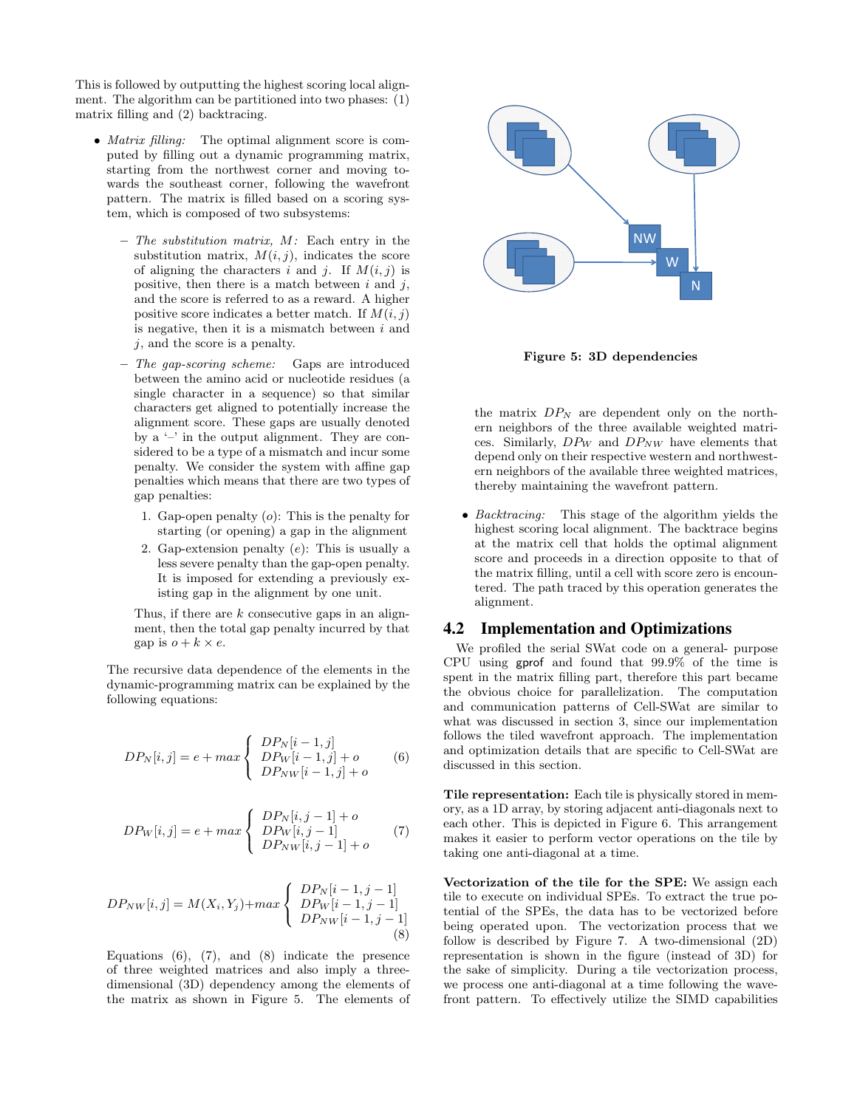This is followed by outputting the highest scoring local alignment. The algorithm can be partitioned into two phases: (1) matrix filling and (2) backtracing.

- Matrix filling: The optimal alignment score is computed by filling out a dynamic programming matrix, starting from the northwest corner and moving towards the southeast corner, following the wavefront pattern. The matrix is filled based on a scoring system, which is composed of two subsystems:
	- $-$  The substitution matrix, M: Each entry in the substitution matrix,  $M(i, j)$ , indicates the score of aligning the characters i and j. If  $M(i, j)$  is positive, then there is a match between  $i$  and  $j$ , and the score is referred to as a reward. A higher positive score indicates a better match. If  $M(i, j)$ is negative, then it is a mismatch between  $i$  and  $i$ , and the score is a penalty.
	- The gap-scoring scheme: Gaps are introduced between the amino acid or nucleotide residues (a single character in a sequence) so that similar characters get aligned to potentially increase the alignment score. These gaps are usually denoted by a '–' in the output alignment. They are considered to be a type of a mismatch and incur some penalty. We consider the system with affine gap penalties which means that there are two types of gap penalties:
		- 1. Gap-open penalty  $(o)$ : This is the penalty for starting (or opening) a gap in the alignment
		- 2. Gap-extension penalty (e): This is usually a less severe penalty than the gap-open penalty. It is imposed for extending a previously existing gap in the alignment by one unit.

Thus, if there are  $k$  consecutive gaps in an alignment, then the total gap penalty incurred by that gap is  $o + k \times e$ .

The recursive data dependence of the elements in the dynamic-programming matrix can be explained by the following equations:

$$
DP_N[i,j] = e + max \begin{cases} DP_N[i-1,j] \\ DP_W[i-1,j] + o \\ DP_{NW}[i-1,j] + o \end{cases}
$$
 (6)

$$
DP_W[i,j] = e + max \begin{cases} DP_N[i,j-1] + o \\ DP_W[i,j-1] \\ DP_{NW}[i,j-1] + o \end{cases}
$$
 (7)

$$
DP_{NW}[i, j] = M(X_i, Y_j) + max \begin{cases} DP_N[i-1, j-1] \\ DP_W[i-1, j-1] \\ DP_{NW}[i-1, j-1] \\ (8) \end{cases}
$$

Equations  $(6)$ ,  $(7)$ , and  $(8)$  indicate the presence of three weighted matrices and also imply a threedimensional (3D) dependency among the elements of the matrix as shown in Figure 5. The elements of



Figure 5: 3D dependencies

the matrix  $DP_N$  are dependent only on the northern neighbors of the three available weighted matrices. Similarly,  $DP_W$  and  $DP_{NW}$  have elements that depend only on their respective western and northwestern neighbors of the available three weighted matrices, thereby maintaining the wavefront pattern.

• *Backtracing:* This stage of the algorithm yields the highest scoring local alignment. The backtrace begins at the matrix cell that holds the optimal alignment score and proceeds in a direction opposite to that of the matrix filling, until a cell with score zero is encountered. The path traced by this operation generates the alignment.

## 4.2 Implementation and Optimizations

We profiled the serial SWat code on a general- purpose CPU using gprof and found that 99.9% of the time is spent in the matrix filling part, therefore this part became the obvious choice for parallelization. The computation and communication patterns of Cell-SWat are similar to what was discussed in section 3, since our implementation follows the tiled wavefront approach. The implementation and optimization details that are specific to Cell-SWat are discussed in this section.

Tile representation: Each tile is physically stored in memory, as a 1D array, by storing adjacent anti-diagonals next to each other. This is depicted in Figure 6. This arrangement makes it easier to perform vector operations on the tile by taking one anti-diagonal at a time.

Vectorization of the tile for the SPE: We assign each tile to execute on individual SPEs. To extract the true potential of the SPEs, the data has to be vectorized before being operated upon. The vectorization process that we follow is described by Figure 7. A two-dimensional (2D) representation is shown in the figure (instead of 3D) for the sake of simplicity. During a tile vectorization process, we process one anti-diagonal at a time following the wavefront pattern. To effectively utilize the SIMD capabilities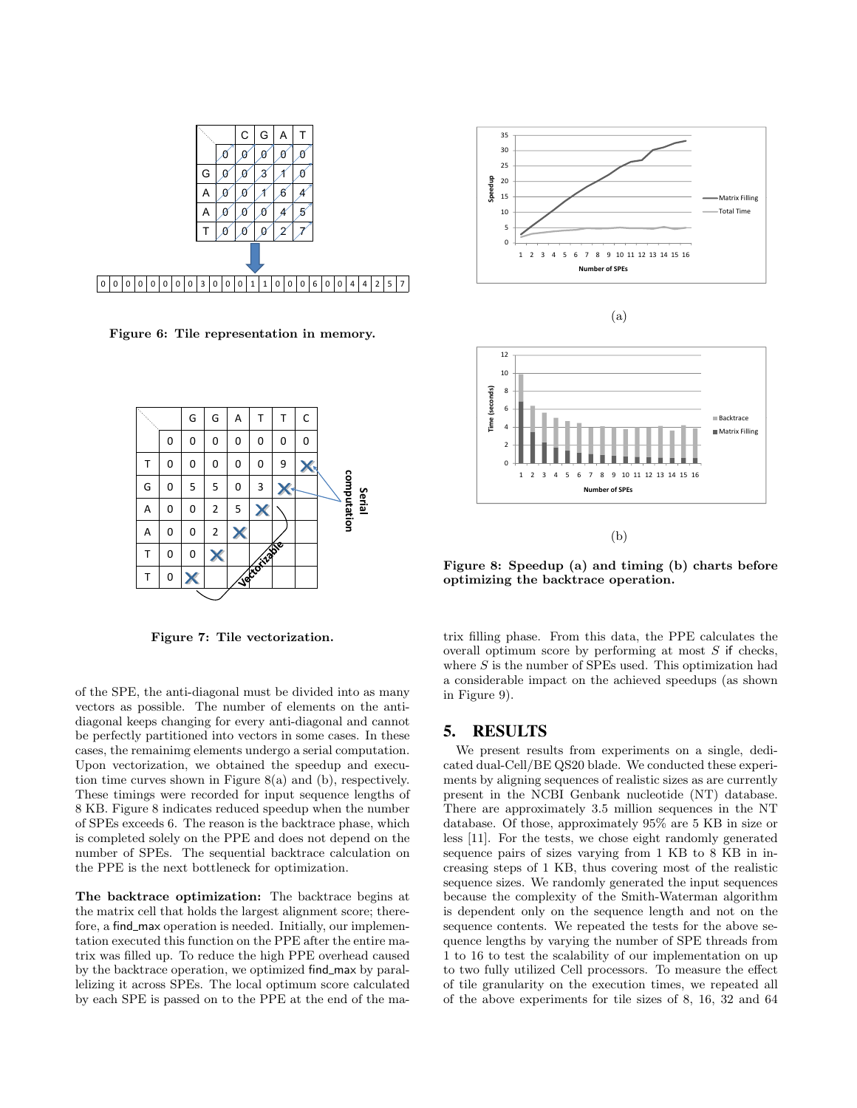

Figure 6: Tile representation in memory.



Figure 7: Tile vectorization.

of the SPE, the anti-diagonal must be divided into as many vectors as possible. The number of elements on the antidiagonal keeps changing for every anti-diagonal and cannot be perfectly partitioned into vectors in some cases. In these cases, the remainimg elements undergo a serial computation. Upon vectorization, we obtained the speedup and execution time curves shown in Figure 8(a) and (b), respectively. These timings were recorded for input sequence lengths of 8 KB. Figure 8 indicates reduced speedup when the number of SPEs exceeds 6. The reason is the backtrace phase, which is completed solely on the PPE and does not depend on the number of SPEs. The sequential backtrace calculation on the PPE is the next bottleneck for optimization.

The backtrace optimization: The backtrace begins at the matrix cell that holds the largest alignment score; therefore, a find\_max operation is needed. Initially, our implementation executed this function on the PPE after the entire matrix was filled up. To reduce the high PPE overhead caused by the backtrace operation, we optimized find\_max by parallelizing it across SPEs. The local optimum score calculated by each SPE is passed on to the PPE at the end of the ma-







Figure 8: Speedup (a) and timing (b) charts before optimizing the backtrace operation.

trix filling phase. From this data, the PPE calculates the overall optimum score by performing at most  $S$  if checks, where  $S$  is the number of SPEs used. This optimization had a considerable impact on the achieved speedups (as shown in Figure 9).

# 5. RESULTS

We present results from experiments on a single, dedicated dual-Cell/BE QS20 blade. We conducted these experiments by aligning sequences of realistic sizes as are currently present in the NCBI Genbank nucleotide (NT) database. There are approximately 3.5 million sequences in the NT database. Of those, approximately 95% are 5 KB in size or less [11]. For the tests, we chose eight randomly generated sequence pairs of sizes varying from 1 KB to 8 KB in increasing steps of 1 KB, thus covering most of the realistic sequence sizes. We randomly generated the input sequences because the complexity of the Smith-Waterman algorithm is dependent only on the sequence length and not on the sequence contents. We repeated the tests for the above sequence lengths by varying the number of SPE threads from 1 to 16 to test the scalability of our implementation on up to two fully utilized Cell processors. To measure the effect of tile granularity on the execution times, we repeated all of the above experiments for tile sizes of 8, 16, 32 and 64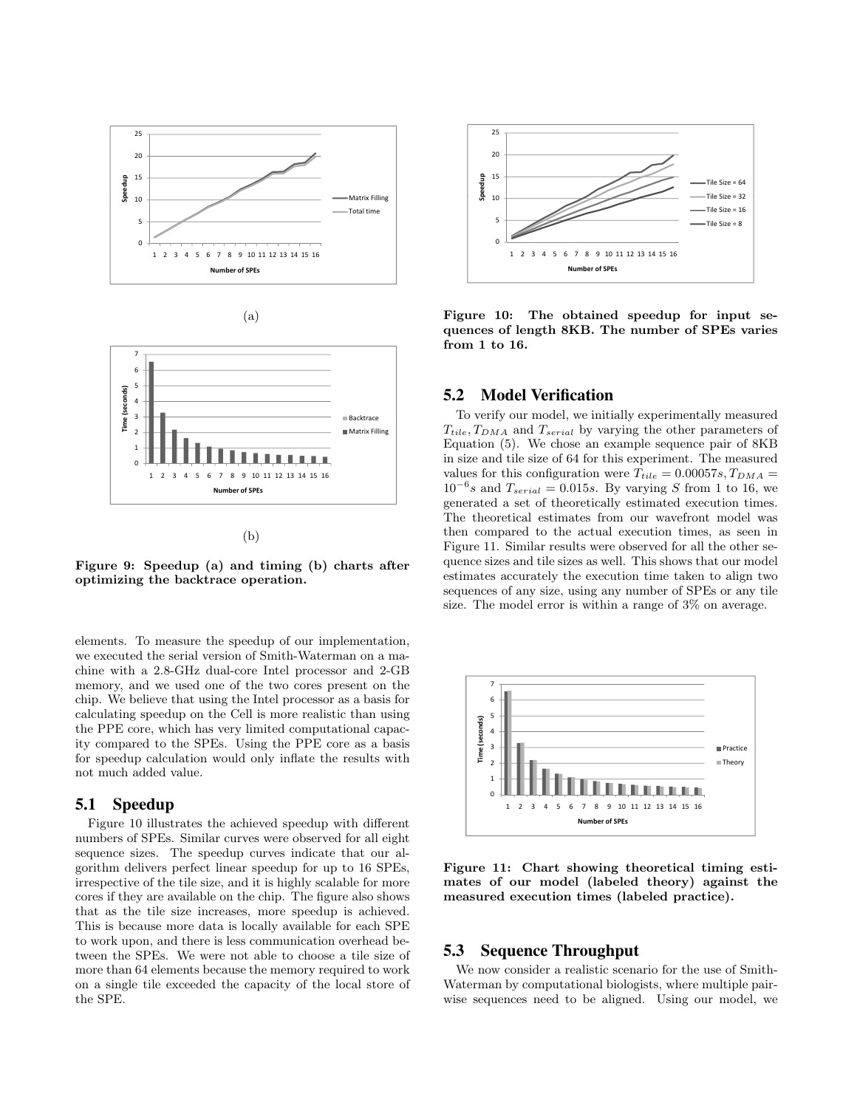

$$
(a)
$$



(b)

Figure 9: Speedup (a) and timing (b) charts after optimizing the backtrace operation.

elements. To measure the speedup of our implementation, we executed the serial version of Smith-Waterman on a machine with a 2.8-GHz dual-core Intel processor and 2-GB memory, and we used one of the two cores present on the chip. We believe that using the Intel processor as a basis for calculating speedup on the Cell is more realistic than using the PPE core, which has very limited computational capacity compared to the SPEs. Using the PPE core as a basis for speedup calculation would only inflate the results with not much added value.

# 5.1 Speedup

Figure 10 illustrates the achieved speedup with different numbers of SPEs. Similar curves were observed for all eight sequence sizes. The speedup curves indicate that our algorithm delivers perfect linear speedup for up to 16 SPEs, irrespective of the tile size, and it is highly scalable for more cores if they are available on the chip. The figure also shows that as the tile size increases, more speedup is achieved. This is because more data is locally available for each SPE to work upon, and there is less communication overhead between the SPEs. We were not able to choose a tile size of more than 64 elements because the memory required to work on a single tile exceeded the capacity of the local store of the SPE.



Figure 10: The obtained speedup for input sequences of length 8KB. The number of SPEs varies from 1 to 16.

# 5.2 Model Verification

To verify our model, we initially experimentally measured  $T_{tile}$ ,  $T_{DMA}$  and  $T_{serial}$  by varying the other parameters of Equation (5). We chose an example sequence pair of 8KB in size and tile size of 64 for this experiment. The measured values for this configuration were  $T_{tile} = 0.00057s, T_{DMA} =$  $10^{-6}s$  and  $T_{serial} = 0.015s$ . By varying S from 1 to 16, we generated a set of theoretically estimated execution times. The theoretical estimates from our wavefront model was then compared to the actual execution times, as seen in Figure 11. Similar results were observed for all the other sequence sizes and tile sizes as well. This shows that our model estimates accurately the execution time taken to align two sequences of any size, using any number of SPEs or any tile size. The model error is within a range of 3% on average.



Figure 11: Chart showing theoretical timing estimates of our model (labeled theory) against the measured execution times (labeled practice).

# 5.3 Sequence Throughput

We now consider a realistic scenario for the use of Smith-Waterman by computational biologists, where multiple pairwise sequences need to be aligned. Using our model, we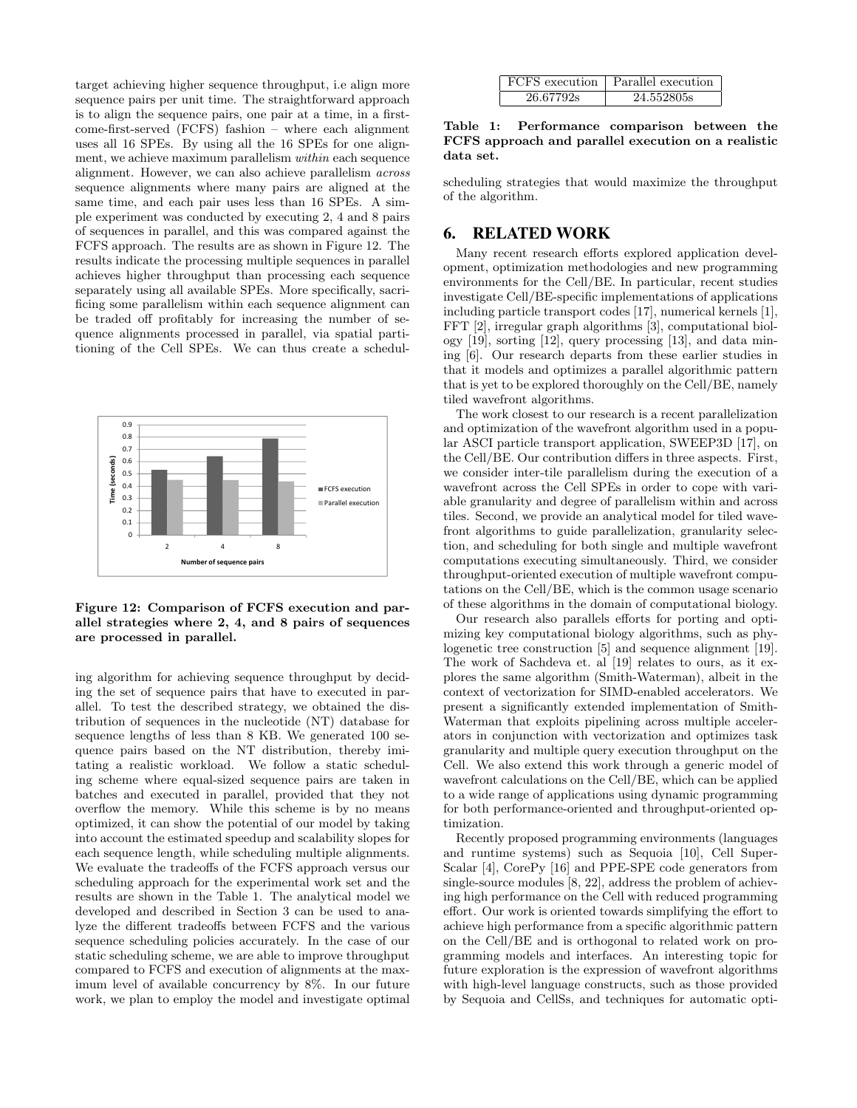target achieving higher sequence throughput, i.e align more sequence pairs per unit time. The straightforward approach is to align the sequence pairs, one pair at a time, in a firstcome-first-served (FCFS) fashion – where each alignment uses all 16 SPEs. By using all the 16 SPEs for one alignment, we achieve maximum parallelism within each sequence alignment. However, we can also achieve parallelism across sequence alignments where many pairs are aligned at the same time, and each pair uses less than 16 SPEs. A simple experiment was conducted by executing 2, 4 and 8 pairs of sequences in parallel, and this was compared against the FCFS approach. The results are as shown in Figure 12. The results indicate the processing multiple sequences in parallel achieves higher throughput than processing each sequence separately using all available SPEs. More specifically, sacrificing some parallelism within each sequence alignment can be traded off profitably for increasing the number of sequence alignments processed in parallel, via spatial partitioning of the Cell SPEs. We can thus create a schedul-



Figure 12: Comparison of FCFS execution and parallel strategies where 2, 4, and 8 pairs of sequences are processed in parallel.

ing algorithm for achieving sequence throughput by deciding the set of sequence pairs that have to executed in parallel. To test the described strategy, we obtained the distribution of sequences in the nucleotide (NT) database for sequence lengths of less than 8 KB. We generated 100 sequence pairs based on the NT distribution, thereby imitating a realistic workload. We follow a static scheduling scheme where equal-sized sequence pairs are taken in batches and executed in parallel, provided that they not overflow the memory. While this scheme is by no means optimized, it can show the potential of our model by taking into account the estimated speedup and scalability slopes for each sequence length, while scheduling multiple alignments. We evaluate the tradeoffs of the FCFS approach versus our scheduling approach for the experimental work set and the results are shown in the Table 1. The analytical model we developed and described in Section 3 can be used to analyze the different tradeoffs between FCFS and the various sequence scheduling policies accurately. In the case of our static scheduling scheme, we are able to improve throughput compared to FCFS and execution of alignments at the maximum level of available concurrency by 8%. In our future work, we plan to employ the model and investigate optimal

|           | FCFS execution   Parallel execution |
|-----------|-------------------------------------|
| 26.67792s | 24.552805s                          |

Table 1: Performance comparison between the FCFS approach and parallel execution on a realistic data set.

scheduling strategies that would maximize the throughput of the algorithm.

## 6. RELATED WORK

Many recent research efforts explored application development, optimization methodologies and new programming environments for the Cell/BE. In particular, recent studies investigate Cell/BE-specific implementations of applications including particle transport codes [17], numerical kernels [1], FFT [2], irregular graph algorithms [3], computational biology [19], sorting [12], query processing [13], and data mining [6]. Our research departs from these earlier studies in that it models and optimizes a parallel algorithmic pattern that is yet to be explored thoroughly on the Cell/BE, namely tiled wavefront algorithms.

The work closest to our research is a recent parallelization and optimization of the wavefront algorithm used in a popular ASCI particle transport application, SWEEP3D [17], on the Cell/BE. Our contribution differs in three aspects. First, we consider inter-tile parallelism during the execution of a wavefront across the Cell SPEs in order to cope with variable granularity and degree of parallelism within and across tiles. Second, we provide an analytical model for tiled wavefront algorithms to guide parallelization, granularity selection, and scheduling for both single and multiple wavefront computations executing simultaneously. Third, we consider throughput-oriented execution of multiple wavefront computations on the Cell/BE, which is the common usage scenario of these algorithms in the domain of computational biology.

Our research also parallels efforts for porting and optimizing key computational biology algorithms, such as phylogenetic tree construction [5] and sequence alignment [19]. The work of Sachdeva et. al [19] relates to ours, as it explores the same algorithm (Smith-Waterman), albeit in the context of vectorization for SIMD-enabled accelerators. We present a significantly extended implementation of Smith-Waterman that exploits pipelining across multiple accelerators in conjunction with vectorization and optimizes task granularity and multiple query execution throughput on the Cell. We also extend this work through a generic model of wavefront calculations on the Cell/BE, which can be applied to a wide range of applications using dynamic programming for both performance-oriented and throughput-oriented optimization.

Recently proposed programming environments (languages and runtime systems) such as Sequoia [10], Cell Super-Scalar [4], CorePy [16] and PPE-SPE code generators from single-source modules [8, 22], address the problem of achieving high performance on the Cell with reduced programming effort. Our work is oriented towards simplifying the effort to achieve high performance from a specific algorithmic pattern on the Cell/BE and is orthogonal to related work on programming models and interfaces. An interesting topic for future exploration is the expression of wavefront algorithms with high-level language constructs, such as those provided by Sequoia and CellSs, and techniques for automatic opti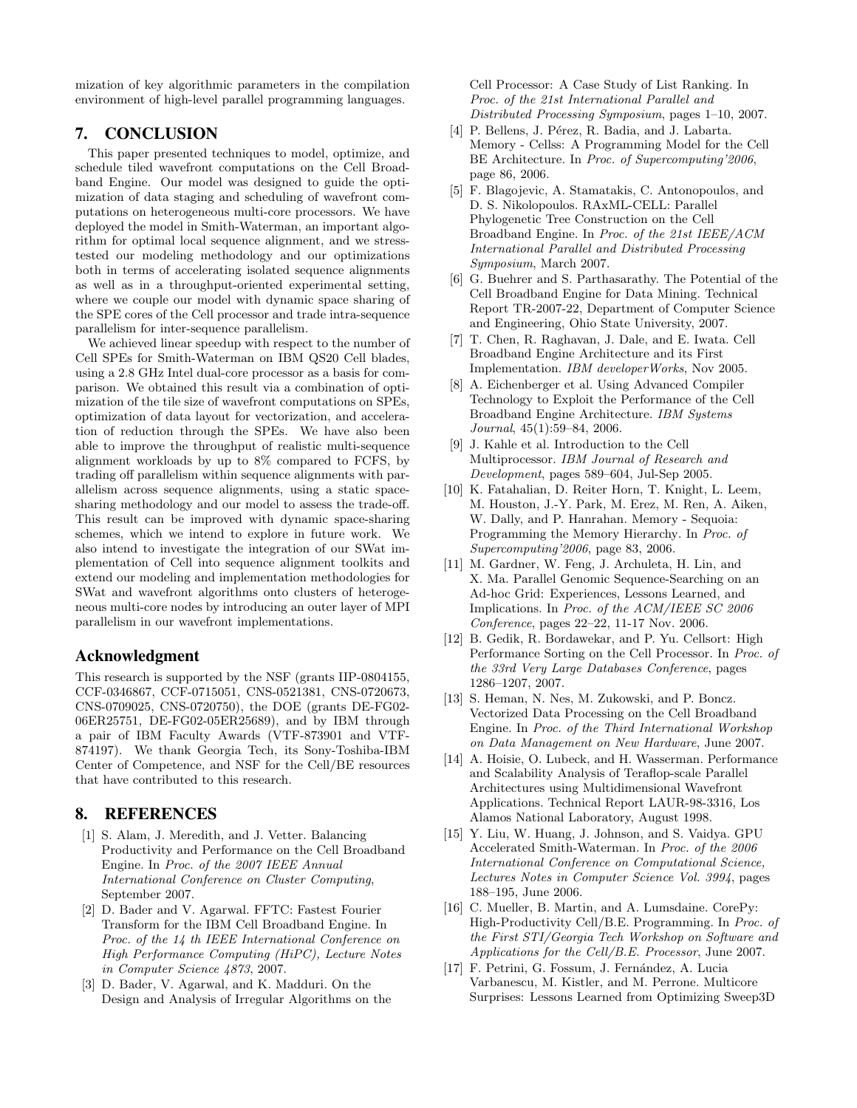mization of key algorithmic parameters in the compilation environment of high-level parallel programming languages.

# 7. CONCLUSION

This paper presented techniques to model, optimize, and schedule tiled wavefront computations on the Cell Broadband Engine. Our model was designed to guide the optimization of data staging and scheduling of wavefront computations on heterogeneous multi-core processors. We have deployed the model in Smith-Waterman, an important algorithm for optimal local sequence alignment, and we stresstested our modeling methodology and our optimizations both in terms of accelerating isolated sequence alignments as well as in a throughput-oriented experimental setting, where we couple our model with dynamic space sharing of the SPE cores of the Cell processor and trade intra-sequence parallelism for inter-sequence parallelism.

We achieved linear speedup with respect to the number of Cell SPEs for Smith-Waterman on IBM QS20 Cell blades, using a 2.8 GHz Intel dual-core processor as a basis for comparison. We obtained this result via a combination of optimization of the tile size of wavefront computations on SPEs, optimization of data layout for vectorization, and acceleration of reduction through the SPEs. We have also been able to improve the throughput of realistic multi-sequence alignment workloads by up to 8% compared to FCFS, by trading off parallelism within sequence alignments with parallelism across sequence alignments, using a static spacesharing methodology and our model to assess the trade-off. This result can be improved with dynamic space-sharing schemes, which we intend to explore in future work. We also intend to investigate the integration of our SWat implementation of Cell into sequence alignment toolkits and extend our modeling and implementation methodologies for SWat and wavefront algorithms onto clusters of heterogeneous multi-core nodes by introducing an outer layer of MPI parallelism in our wavefront implementations.

## Acknowledgment

This research is supported by the NSF (grants IIP-0804155, CCF-0346867, CCF-0715051, CNS-0521381, CNS-0720673, CNS-0709025, CNS-0720750), the DOE (grants DE-FG02- 06ER25751, DE-FG02-05ER25689), and by IBM through a pair of IBM Faculty Awards (VTF-873901 and VTF-874197). We thank Georgia Tech, its Sony-Toshiba-IBM Center of Competence, and NSF for the Cell/BE resources that have contributed to this research.

# 8. REFERENCES

- [1] S. Alam, J. Meredith, and J. Vetter. Balancing Productivity and Performance on the Cell Broadband Engine. In Proc. of the 2007 IEEE Annual International Conference on Cluster Computing, September 2007.
- [2] D. Bader and V. Agarwal. FFTC: Fastest Fourier Transform for the IBM Cell Broadband Engine. In Proc. of the 14 th IEEE International Conference on High Performance Computing (HiPC), Lecture Notes in Computer Science 4873, 2007.
- [3] D. Bader, V. Agarwal, and K. Madduri. On the Design and Analysis of Irregular Algorithms on the

Cell Processor: A Case Study of List Ranking. In Proc. of the 21st International Parallel and Distributed Processing Symposium, pages 1–10, 2007.

- [4] P. Bellens, J. Pérez, R. Badia, and J. Labarta. Memory - Cellss: A Programming Model for the Cell BE Architecture. In Proc. of Supercomputing'2006, page 86, 2006.
- [5] F. Blagojevic, A. Stamatakis, C. Antonopoulos, and D. S. Nikolopoulos. RAxML-CELL: Parallel Phylogenetic Tree Construction on the Cell Broadband Engine. In Proc. of the 21st IEEE/ACM International Parallel and Distributed Processing Symposium, March 2007.
- [6] G. Buehrer and S. Parthasarathy. The Potential of the Cell Broadband Engine for Data Mining. Technical Report TR-2007-22, Department of Computer Science and Engineering, Ohio State University, 2007.
- [7] T. Chen, R. Raghavan, J. Dale, and E. Iwata. Cell Broadband Engine Architecture and its First Implementation. IBM developerWorks, Nov 2005.
- [8] A. Eichenberger et al. Using Advanced Compiler Technology to Exploit the Performance of the Cell Broadband Engine Architecture. IBM Systems Journal, 45(1):59–84, 2006.
- [9] J. Kahle et al. Introduction to the Cell Multiprocessor. IBM Journal of Research and Development, pages 589–604, Jul-Sep 2005.
- [10] K. Fatahalian, D. Reiter Horn, T. Knight, L. Leem, M. Houston, J.-Y. Park, M. Erez, M. Ren, A. Aiken, W. Dally, and P. Hanrahan. Memory - Sequoia: Programming the Memory Hierarchy. In Proc. of Supercomputing'2006, page 83, 2006.
- [11] M. Gardner, W. Feng, J. Archuleta, H. Lin, and X. Ma. Parallel Genomic Sequence-Searching on an Ad-hoc Grid: Experiences, Lessons Learned, and Implications. In Proc. of the ACM/IEEE SC 2006 Conference, pages 22–22, 11-17 Nov. 2006.
- [12] B. Gedik, R. Bordawekar, and P. Yu. Cellsort: High Performance Sorting on the Cell Processor. In Proc. of the 33rd Very Large Databases Conference, pages 1286–1207, 2007.
- [13] S. Heman, N. Nes, M. Zukowski, and P. Boncz. Vectorized Data Processing on the Cell Broadband Engine. In Proc. of the Third International Workshop on Data Management on New Hardware, June 2007.
- [14] A. Hoisie, O. Lubeck, and H. Wasserman. Performance and Scalability Analysis of Teraflop-scale Parallel Architectures using Multidimensional Wavefront Applications. Technical Report LAUR-98-3316, Los Alamos National Laboratory, August 1998.
- [15] Y. Liu, W. Huang, J. Johnson, and S. Vaidya. GPU Accelerated Smith-Waterman. In Proc. of the 2006 International Conference on Computational Science, Lectures Notes in Computer Science Vol. 3994, pages 188–195, June 2006.
- [16] C. Mueller, B. Martin, and A. Lumsdaine. CorePy: High-Productivity Cell/B.E. Programming. In Proc. of the First STI/Georgia Tech Workshop on Software and Applications for the Cell/B.E. Processor, June 2007.
- [17] F. Petrini, G. Fossum, J. Fernández, A. Lucia Varbanescu, M. Kistler, and M. Perrone. Multicore Surprises: Lessons Learned from Optimizing Sweep3D